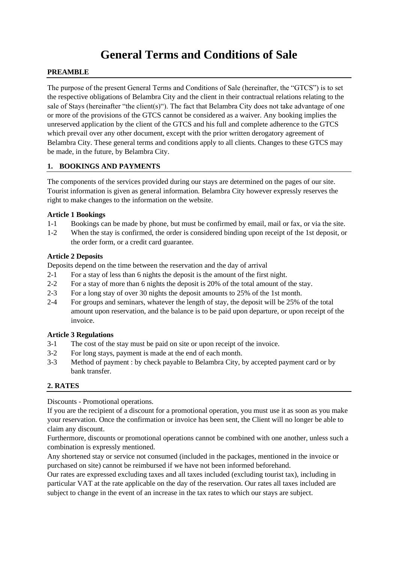# **General Terms and Conditions of Sale**

#### **PREAMBLE**

The purpose of the present General Terms and Conditions of Sale (hereinafter, the "GTCS") is to set the respective obligations of Belambra City and the client in their contractual relations relating to the sale of Stays (hereinafter "the client(s)"). The fact that Belambra City does not take advantage of one or more of the provisions of the GTCS cannot be considered as a waiver. Any booking implies the unreserved application by the client of the GTCS and his full and complete adherence to the GTCS which prevail over any other document, except with the prior written derogatory agreement of Belambra City. These general terms and conditions apply to all clients. Changes to these GTCS may be made, in the future, by Belambra City.

#### **1. BOOKINGS AND PAYMENTS**

The components of the services provided during our stays are determined on the pages of our site. Tourist information is given as general information. Belambra City however expressly reserves the right to make changes to the information on the website.

#### **Article 1 Bookings**

- 1-1 Bookings can be made by phone, but must be confirmed by email, mail or fax, or via the site.
- 1-2 When the stay is confirmed, the order is considered binding upon receipt of the 1st deposit, or the order form, or a credit card guarantee.

#### **Article 2 Deposits**

Deposits depend on the time between the reservation and the day of arrival

- 2-1 For a stay of less than 6 nights the deposit is the amount of the first night.
- 2-2 For a stay of more than 6 nights the deposit is 20% of the total amount of the stay.
- 2-3 For a long stay of over 30 nights the deposit amounts to 25% of the 1st month.
- 2-4 For groups and seminars, whatever the length of stay, the deposit will be 25% of the total amount upon reservation, and the balance is to be paid upon departure, or upon receipt of the invoice.

# **Article 3 Regulations**

- 3-1 The cost of the stay must be paid on site or upon receipt of the invoice.
- 3-2 For long stays, payment is made at the end of each month.
- 3-3 Method of payment : by check payable to Belambra City, by accepted payment card or by bank transfer.

# **2. RATES**

Discounts - Promotional operations.

If you are the recipient of a discount for a promotional operation, you must use it as soon as you make your reservation. Once the confirmation or invoice has been sent, the Client will no longer be able to claim any discount.

Furthermore, discounts or promotional operations cannot be combined with one another, unless such a combination is expressly mentioned.

Any shortened stay or service not consumed (included in the packages, mentioned in the invoice or purchased on site) cannot be reimbursed if we have not been informed beforehand.

Our rates are expressed excluding taxes and all taxes included (excluding tourist tax), including in particular VAT at the rate applicable on the day of the reservation. Our rates all taxes included are subject to change in the event of an increase in the tax rates to which our stays are subject.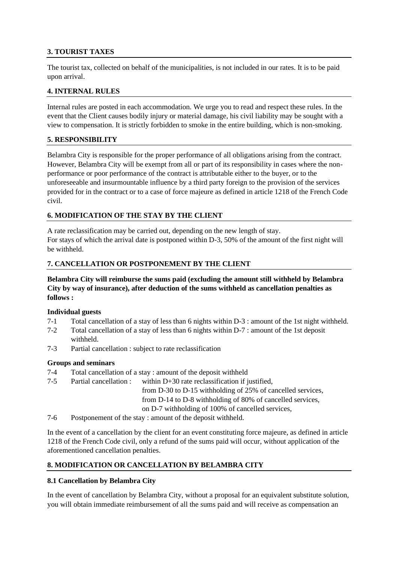# **3. TOURIST TAXES**

The tourist tax, collected on behalf of the municipalities, is not included in our rates. It is to be paid upon arrival.

#### **4. INTERNAL RULES**

Internal rules are posted in each accommodation. We urge you to read and respect these rules. In the event that the Client causes bodily injury or material damage, his civil liability may be sought with a view to compensation. It is strictly forbidden to smoke in the entire building, which is non-smoking.

#### **5. RESPONSIBILITY**

Belambra City is responsible for the proper performance of all obligations arising from the contract. However, Belambra City will be exempt from all or part of its responsibility in cases where the nonperformance or poor performance of the contract is attributable either to the buyer, or to the unforeseeable and insurmountable influence by a third party foreign to the provision of the services provided for in the contract or to a case of force majeure as defined in article 1218 of the French Code civil.

# **6. MODIFICATION OF THE STAY BY THE CLIENT**

A rate reclassification may be carried out, depending on the new length of stay. For stays of which the arrival date is postponed within D-3, 50% of the amount of the first night will be withheld.

# **7. CANCELLATION OR POSTPONEMENT BY THE CLIENT**

# **Belambra City will reimburse the sums paid (excluding the amount still withheld by Belambra City by way of insurance), after deduction of the sums withheld as cancellation penalties as follows :**

#### **Individual guests**

- 7-1 Total cancellation of a stay of less than 6 nights within D-3 : amount of the 1st night withheld.
- 7-2 Total cancellation of a stay of less than 6 nights within D-7 : amount of the 1st deposit withheld.
- 7-3 Partial cancellation : subject to rate reclassification

#### **Groups and seminars**

- 7-4 Total cancellation of a stay : amount of the deposit withheld
- 7-5 Partial cancellation : within D+30 rate reclassification if justified, from D-30 to D-15 withholding of 25% of cancelled services, from D-14 to D-8 withholding of 80% of cancelled services, on D-7 withholding of 100% of cancelled services,
- 7-6 Postponement of the stay : amount of the deposit withheld.

In the event of a cancellation by the client for an event constituting force majeure, as defined in article 1218 of the French Code civil, only a refund of the sums paid will occur, without application of the aforementioned cancellation penalties.

# **8. MODIFICATION OR CANCELLATION BY BELAMBRA CITY**

# **8.1 Cancellation by Belambra City**

In the event of cancellation by Belambra City, without a proposal for an equivalent substitute solution, you will obtain immediate reimbursement of all the sums paid and will receive as compensation an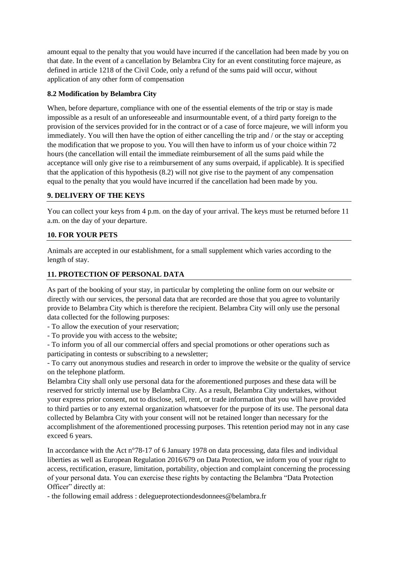amount equal to the penalty that you would have incurred if the cancellation had been made by you on that date. In the event of a cancellation by Belambra City for an event constituting force majeure, as defined in article 1218 of the Civil Code, only a refund of the sums paid will occur, without application of any other form of compensation

# **8.2 Modification by Belambra City**

When, before departure, compliance with one of the essential elements of the trip or stay is made impossible as a result of an unforeseeable and insurmountable event, of a third party foreign to the provision of the services provided for in the contract or of a case of force majeure, we will inform you immediately. You will then have the option of either cancelling the trip and / or the stay or accepting the modification that we propose to you. You will then have to inform us of your choice within 72 hours (the cancellation will entail the immediate reimbursement of all the sums paid while the acceptance will only give rise to a reimbursement of any sums overpaid, if applicable). It is specified that the application of this hypothesis (8.2) will not give rise to the payment of any compensation equal to the penalty that you would have incurred if the cancellation had been made by you.

# **9. DELIVERY OF THE KEYS**

You can collect your keys from 4 p.m. on the day of your arrival. The keys must be returned before 11 a.m. on the day of your departure.

# **10. FOR YOUR PETS**

Animals are accepted in our establishment, for a small supplement which varies according to the length of stay.

# **11. PROTECTION OF PERSONAL DATA**

As part of the booking of your stay, in particular by completing the online form on our website or directly with our services, the personal data that are recorded are those that you agree to voluntarily provide to Belambra City which is therefore the recipient. Belambra City will only use the personal data collected for the following purposes:

- To allow the execution of your reservation;

- To provide you with access to the website;

- To inform you of all our commercial offers and special promotions or other operations such as participating in contests or subscribing to a newsletter;

- To carry out anonymous studies and research in order to improve the website or the quality of service on the telephone platform.

Belambra City shall only use personal data for the aforementioned purposes and these data will be reserved for strictly internal use by Belambra City. As a result, Belambra City undertakes, without your express prior consent, not to disclose, sell, rent, or trade information that you will have provided to third parties or to any external organization whatsoever for the purpose of its use. The personal data collected by Belambra City with your consent will not be retained longer than necessary for the accomplishment of the aforementioned processing purposes. This retention period may not in any case exceed 6 years.

In accordance with the Act n°78-17 of 6 January 1978 on data processing, data files and individual liberties as well as European Regulation 2016/679 on Data Protection, we inform you of your right to access, rectification, erasure, limitation, portability, objection and complaint concerning the processing of your personal data. You can exercise these rights by contacting the Belambra "Data Protection Officer" directly at:

- the following email address : delegueprotectiondesdonnees@belambra.fr